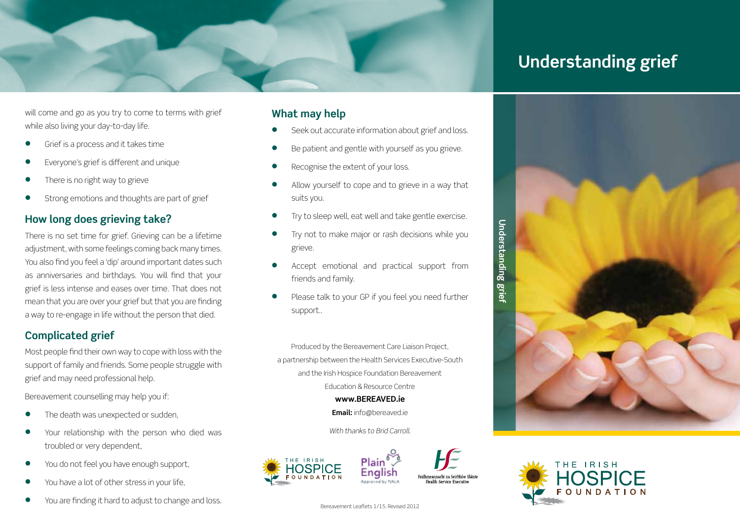

# **Understanding grief**

will come and go as you try to come to terms with grief while also living your day-to-day life.

- **Grief is a process and it takes time**
- Everyone's grief is different and unique
- There is no right way to grieve
- Strong emotions and thoughts are part of grief

### **How long does grieving take?**

There is no set time for grief. Grieving can be a lifetime adjustment, with some feelings coming back many times. You also find you feel a 'dip' around important dates such as anniversaries and birthdays. You will find that your grief is less intense and eases over time. That does not mean that you are over your grief but that you are finding a way to re-engage in life without the person that died.

### **Complicated grief**

Most people find their own way to cope with loss with the support of family and friends. Some people struggle with grief and may need professional help.

Bereavement counselling may help you if:

- The death was unexpected or sudden,
- Your relationship with the person who died was troubled or very dependent,
- You do not feel you have enough support,
- You have a lot of other stress in your life,
- **You are finding it hard to adjust to change and loss.** Bereavement Leaflets 1/15. Revised 2012

### **What may help**

- Seek out accurate information about grief and loss.
- Be patient and gentle with yourself as you grieve.
- Recognise the extent of your loss.
- Allow yourself to cope and to grieve in a way that suits you.
- Try to sleep well, eat well and take gentle exercise.
- Try not to make major or rash decisions while you grieve.
- Accept emotional and practical support from friends and family.
- Please talk to your GP if you feel you need further support..

Produced by the Bereavement Care Liaison Project, a partnership between the Health Services Executive-South and the Irish Hospice Foundation Bereavement Education & Resource Centre

**www.Bereaved.ie**

**Email:** info@bereaved.ie

*With thanks to Brid Carroll.*